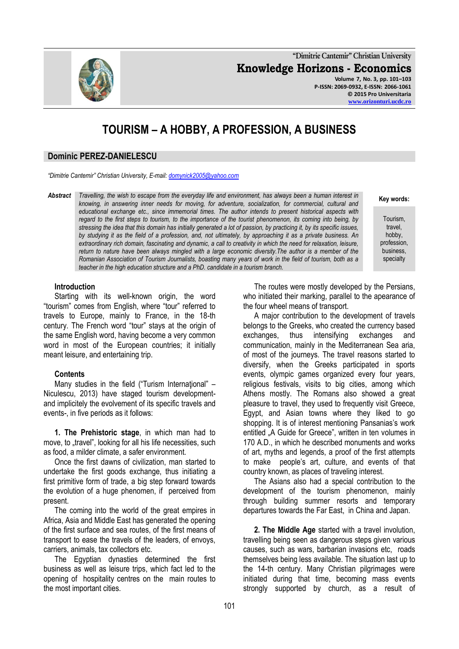**"Dimitrie Cantemir" Christian University Knowledge Horizons - Economics Volume 7, No. 3, pp. 101–103 P-ISSN: 2069-0932, E-ISSN: 2066-1061 © 2015 Pro Universitaria**

# **TOURISM – A HOBBY, A PROFESSION, A BUSINESS**

#### **Dominic PEREZ-DANIELESCU**

*"Dimitrie Cantemir" Christian University, E-mail[: domynick2005@yahoo.com](mailto:domynick2005@yahoo.com)*

*Abstract Travelling, the wish to escape from the everyday life and environment, has always been a human interest in knowing, in answering inner needs for moving, for adventure, socialization, for commercial, cultural and educational exchange etc., since immemorial times. The author intends to present historical aspects with regard to the first steps to tourism, to the importance of the tourist phenomenon, its coming into being, by stressing the idea that this domain has initially generated a lot of passion, by practicing it, by its specific issues, by studying it as the field of a profession, and, not ultimately, by approaching it as a private business. An*  extraordinary rich domain, fascinating and dynamic, a call to creativity in which the need for relaxation, leisure, *return to nature have been always mingled with a large economic diversity.The author is a member of the Romanian Association of Tourism Journalists, boasting many years of work in the field of tourism, both as a teacher in the high education structure and a PhD. candidate in a tourism branch.*

The routes were mostly developed by the Persians, who initiated their marking, parallel to the apearance of the four wheel means of transport.

A major contribution to the development of travels belongs to the Greeks, who created the currency based exchanges, thus intensifying exchanges and communication, mainly in the Mediterranean Sea aria, of most of the journeys. The travel reasons started to diversify, when the Greeks participated in sports events, olympic games organized every four years, religious festivals, visits to big cities, among which Athens mostly. The Romans also showed a great pleasure to travel, they used to frequently visit Greece, Egypt, and Asian towns where they liked to go shopping. It is of interest mentioning Pansanias's work entitled "A Guide for Greece", written in ten volumes in 170 A.D., in which he described monuments and works of art, myths and legends, a proof of the first attempts to make people"s art, culture, and events of that country known, as places of traveling interest.

The Asians also had a special contribution to the development of the tourism phenomenon, mainly through building summer resorts and temporary departures towards the Far East, in China and Japan.

**2. The Middle Age** started with a travel involution, travelling being seen as dangerous steps given various causes, such as wars, barbarian invasions etc, roads themselves being less available. The situation last up to the 14-th century. Many Christian pilgrimages were initiated during that time, becoming mass events strongly supported by church, as a result of

#### **Introduction**

Starting with its well-known origin, the word "tourism" comes from English, where "tour" referred to travels to Europe, mainly to France, in the 18-th century. The French word "tour" stays at the origin of the same English word, having become a very common word in most of the European countries; it initially meant leisure, and entertaining trip.

#### **Contents**

Many studies in the field ("Turism International" – Niculescu, 2013) have staged tourism developmentand implicitely the evolvement of its specific travels and events-, in five periods as it follows:

**1. The Prehistoric stage**, in which man had to move, to "travel", looking for all his life necessities, such as food, a milder climate, a safer environment.

Once the first dawns of civilization, man started to undertake the first goods exchange, thus initiating a first primitive form of trade, a big step forward towards the evolution of a huge phenomen, if perceived from present.

The coming into the world of the great empires in Africa, Asia and Middle East has generated the opening of the first surface and sea routes, of the first means of transport to ease the travels of the leaders, of envoys, carriers, animals, tax collectors etc.

The Egyptian dynasties determined the first business as well as leisure trips, which fact led to the opening of hospitality centres on the main routes to the most important cities.



## **Key words:**

**[www.orizonturi.ucdc.ro](http://www.orizonturi.ucdc.ro/)**

- Tourism, travel, hobby,
- profession, business, specialty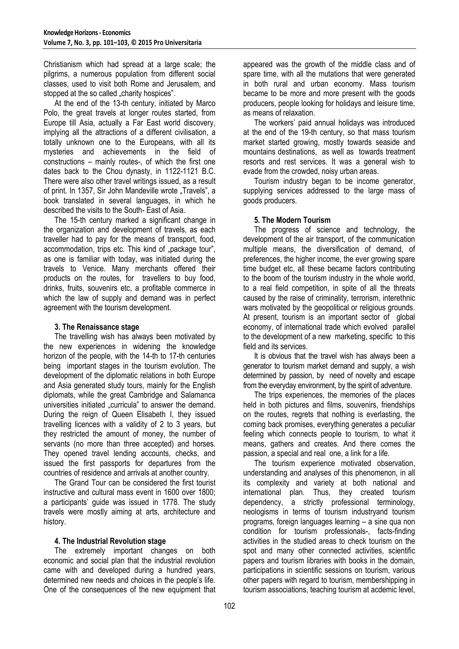Christianism which had spread at a large scale; the pilgrims, a numerous population from different social classes, used to visit both Rome and Jerusalem, and stopped at the so called "charity hospices".

At the end of the 13-th century, initiated by Marco Polo, the great travels at longer routes started, from Europe till Asia, actually a Far East world discovery, implying all the attractions of a different civilisation, a totally unknown one to the Europeans, with all its mysteries and achievements in the field of constructions – mainly routes-, of which the first one dates back to the Chou dynasty, in 1122-1121 B.C. There were also other travel writings issued, as a result of print. In 1357, Sir John Mandeville wrote "Travels", a book translated in several languages, in which he described the visits to the South- East of Asia.

The 15-th century marked a significant change in the organization and development of travels, as each traveller had to pay for the means of transport, food, accommodation, trips etc. This kind of "package tour", as one is familiar with today, was initiated during the travels to Venice. Many merchants offered their products on the routes, for travellers to buy food, drinks, fruits, souvenirs etc, a profitable commerce in which the law of supply and demand was in perfect agreement with the tourism development.

#### **3. The Renaissance stage**

The travelling wish has always been motivated by the new experiences in widening the knowledge horizon of the people, with the 14-th to 17-th centuries being important stages in the tourism evolution. The development of the diplomatic relations in both Europe and Asia generated study tours, mainly for the English diplomats, while the great Cambridge and Salamanca universities initiated "curricula" to answer the demand. During the reign of Queen Elisabeth I, they issued travelling licences with a validity of 2 to 3 years, but they restricted the amount of money, the number of servants (no more than three accepted) and horses. They opened travel lending accounts, checks, and issued the first passports for departures from the countries of residence and arrivals at another country.

The Grand Tour can be considered the first tourist instructive and cultural mass event in 1600 over 1800; a participants" guide was issued in 1778. The study travels were mostly aiming at arts, architecture and history.

## **4. The Industrial Revolution stage**

The extremely important changes on both economic and social plan that the industrial revolution came with and developed during a hundred years, determined new needs and choices in the people"s life. One of the consequences of the new equipment that appeared was the growth of the middle class and of spare time, with all the mutations that were generated in both rural and urban economy. Mass tourism became to be more and more present with the goods producers, people looking for holidays and leisure time, as means of relaxation.

The workers" paid annual holidays was introduced at the end of the 19-th century, so that mass tourism market started growing, mostly towards seaside and mountains destinations, as well as towards treatment resorts and rest services. It was a general wish to evade from the crowded, noisy urban areas.

Tourism industry began to be income generator, supplying services addressed to the large mass of goods producers.

## **5. The Modern Tourism**

The progress of science and technology, the development of the air transport, of the communication multiple means, the diversification of demand, of preferences, the higher income, the ever growing spare time budget etc, all these became factors contributing to the boom of the tourism industry in the whole world, to a real field competition, in spite of all the threats caused by the raise of criminality, terrorism, interethnic wars motivated by the geopolitical or religious grounds. At present, tourism is an important sector of global economy, of international trade which evolved parallel to the development of a new marketing, specific to this field and its services.

It is obvious that the travel wish has always been a generator to tourism market demand and supply, a wish determined by passion, by need of novelty and escape from the everyday environment, by the spirit of adventure.

The trips experiences, the memories of the places held in both pictures and films, souvenirs, friendships on the routes, regrets that nothing is everlasting, the coming back promises, everything generates a peculiar feeling which connects people to tourism, to what it means, gathers and creates. And there comes the passion, a special and real one, a link for a life.

The tourism experience motivated observation, understanding and analyses of this phenomenon, in all its complexity and variety at both national and international plan. Thus, they created tourism dependency, a strictly professional terminology, neologisms in terms of tourism industryand tourism programs, foreign languages learning – a sine qua non condition for tourism professionals-, facts-finding activities in the studied areas to check tourism on the spot and many other connected activities, scientific papers and tourism libraries with books in the domain, participations in scientific sessions on tourism, various other papers with regard to tourism, membershipping in tourism associations, teaching tourism at acdemic level,